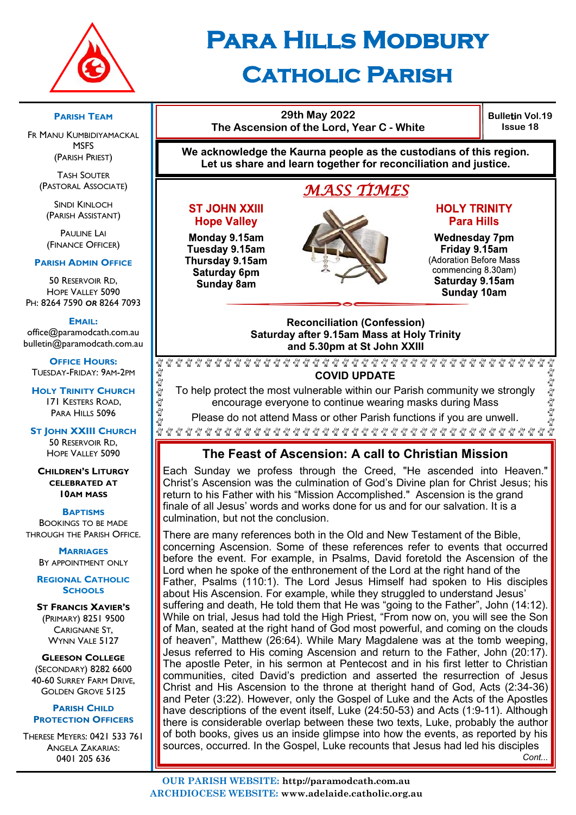

## **Para Hills Modbury Catholic Parish**

#### **PARISH TEAM**

FR MANU KUMBIDIYAMACKAL **MSFS** (PARISH PRIEST)

TASH SOUTER (PASTORAL ASSOCIATE)

SINDI KINLOCH (PARISH ASSISTANT)

**PAULINE LAI** (FINANCE OFFICER)

#### **PARISH ADMIN OFFICE**

50 RESERVOIR RD, HOPE VALLEY 5090 PH: 8264 7590 *OR* 8264 7093

#### **EMAIL:**

office@paramodcath.com.au bulletin@paramodcath.com.au

**OFFICE HOURS:**  TUESDAY-FRIDAY: 9AM-2PM

**HOLY TRINITY CHURCH** 171 KESTERS ROAD, PARA HILLS 5096

Eg Eg Eg Eg Eg

 $\begin{aligned} \mathbf{E}^{\mathcal{D}}_{\mathcal{Q}}\mathbf{E}^{\mathcal{D}}_{\mathcal{Q}}\mathbf{E}^{\mathcal{D}}_{\mathcal{Q}} \end{aligned}$ 

**ST JOHN XXIII CHURCH** 50 RESERVOIR RD, HOPE VALLEY 5090

**CHILDREN'S LITURGY CELEBRATED AT 10AM MASS**

**BAPTISMS**

BOOKINGS TO BE MADE THROUGH THE PARISH OFFICE.

> **MARRIAGES** BY APPOINTMENT ONLY

**REGIONAL CATHOLIC SCHOOLS**

**ST FRANCIS XAVIER'S** (PRIMARY) 8251 9500 CARIGNANE ST, WYNN VALE 5127

**GLEESON COLLEGE** (SECONDARY) 8282 6600 40-60 SURREY FARM DRIVE, GOLDEN GROVE 5125

#### **PARISH CHILD PROTECTION OFFICERS**

THERESE MEYERS: 0421 533 761 ANGELA ZAKARIAS: 0401 205 636



**Bulletin Vol.19 Issue 18**

นั้

**We acknowledge the Kaurna people as the custodians of this region. Let us share and learn together for reconciliation and justice.**

## *MASS TIMES*

#### **ST JOHN XXIII Hope Valley**

Monday 9.15am Tuesday 9.15am Thursday 9.15am Saturday 6pm Sunday 8am



#### **HOLY TRINITY Para Hills**

**Wednesday 7pm** Friday 9.15am (Adoration Before Mass commencing 8.30am) Saturday 9.15am Sunday 10am

#### **Reconciliation (Confession) Saturday after 9.15am Mass at Holy Trinity and 5.30pm at St John XXIII**

 $\gamma_{\rm M}^{\rm O}$ E E E E E E **COVID UPDATE**

To help protect the most vulnerable within our Parish community we strongly encourage everyone to continue wearing masks during Mass

Please do not attend Mass or other Parish functions if you are unwell.

## **The Feast of Ascension: A call to Christian Mission**

Each Sunday we profess through the Creed, "He ascended into Heaven." Christ's Ascension was the culmination of God's Divine plan for Christ Jesus; his return to his Father with his "Mission Accomplished." Ascension is the grand finale of all Jesus' words and works done for us and for our salvation. It is a culmination, but not the conclusion.

There are many references both in the Old and New Testament of the Bible, concerning Ascension. Some of these references refer to events that occurred before the event. For example, in Psalms, David foretold the Ascension of the Lord when he spoke of the enthronement of the Lord at the right hand of the Father, Psalms (110:1). The Lord Jesus Himself had spoken to His disciples about His Ascension. For example, while they struggled to understand Jesus' suffering and death, He told them that He was "going to the Father", John (14:12). While on trial, Jesus had told the High Priest, "From now on, you will see the Son of Man, seated at the right hand of God most powerful, and coming on the clouds of heaven", Matthew (26:64). While Mary Magdalene was at the tomb weeping, Jesus referred to His coming Ascension and return to the Father, John (20:17). The apostle Peter, in his sermon at Pentecost and in his first letter to Christian communities, cited David's prediction and asserted the resurrection of Jesus Christ and His Ascension to the throne at theright hand of God, Acts (2:34-36) and Peter (3:22). However, only the Gospel of Luke and the Acts of the Apostles have descriptions of the event itself, Luke (24:50-53) and Acts (1:9-11). Although there is considerable overlap between these two texts, Luke, probably the author of both books, gives us an inside glimpse into how the events, as reported by his sources, occurred. In the Gospel, Luke recounts that Jesus had led his disciples  *Cont...*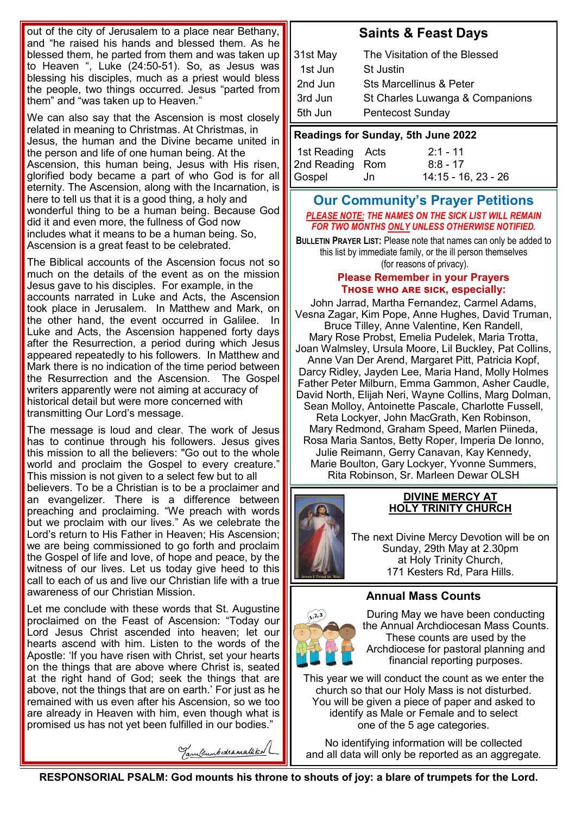out of the city of Jerusalem to a place near Bethany, and "he raised his hands and blessed them. As he blessed them, he parted from them and was taken up to Heaven ", Luke (24:50-51). So, as Jesus was blessing his disciples, much as a priest would bless the people, two things occurred. Jesus "parted from them" and "was taken up to Heaven."

We can also say that the Ascension is most closely related in meaning to Christmas. At Christmas, in Jesus, the human and the Divine became united in the person and life of one human being. At the Ascension, this human being, Jesus with His risen, glorified body became a part of who God is for all eternity. The Ascension, along with the Incarnation, is here to tell us that it is a good thing, a holy and wonderful thing to be a human being. Because God did it and even more, the fullness of God now includes what it means to be a human being. So, Ascension is a great feast to be celebrated.

The Biblical accounts of the Ascension focus not so much on the details of the event as on the mission Jesus gave to his disciples. For example, in the accounts narrated in Luke and Acts, the Ascension took place in Jerusalem. In Matthew and Mark, on the other hand, the event occurred in Galilee. In Luke and Acts, the Ascension happened forty days after the Resurrection, a period during which Jesus appeared repeatedly to his followers. In Matthew and Mark there is no indication of the time period between the Resurrection and the Ascension. The Gospel writers apparently were not aiming at accuracy of historical detail but were more concerned with transmitting Our Lord's message.

The message is loud and clear. The work of Jesus has to continue through his followers. Jesus gives this mission to all the believers: "Go out to the whole world and proclaim the Gospel to every creature." This mission is not given to a select few but to all believers. To be a Christian is to be a proclaimer and an evangelizer. There is a difference between preaching and proclaiming. "We preach with words but we proclaim with our lives." As we celebrate the Lord's return to His Father in Heaven; His Ascension; we are being commissioned to go forth and proclaim the Gospel of life and love, of hope and peace, by the witness of our lives. Let us today give heed to this call to each of us and live our Christian life with a true awareness of our Christian Mission.

Let me conclude with these words that St. Augustine proclaimed on the Feast of Ascension: "Today our Lord Jesus Christ ascended into heaven; let our hearts ascend with him. Listen to the words of the Apostle: 'If you have risen with Christ, set your hearts on the things that are above where Christ is, seated at the right hand of God; seek the things that are above, not the things that are on earth.' For just as he remained with us even after his Ascension, so we too are already in Heaven with him, even though what is promised us has not yet been fulfilled in our bodies."

## **Saints & Feast Days**

| 31st May                           | The Visitation of the Blessed      |  |
|------------------------------------|------------------------------------|--|
| 1st Jun                            | <b>St Justin</b>                   |  |
| 2nd Jun                            | <b>Sts Marcellinus &amp; Peter</b> |  |
| 3rd Jun                            | St Charles Luwanga & Companions    |  |
| 5th Jun                            | <b>Pentecost Sunday</b>            |  |
| Readings for Sunday, 5th June 2022 |                                    |  |
|                                    |                                    |  |

| 1st Reading Acts | $2:1 - 11$          |
|------------------|---------------------|
| 2nd Reading Rom  | $8:8 - 17$          |
| Gospel<br>di Jih | 14:15 - 16, 23 - 26 |

#### **Our Community's Prayer Petitions**  *PLEASE NOTE: THE NAMES ON THE SICK LIST WILL REMAIN FOR TWO MONTHS ONLY UNLESS OTHERWISE NOTIFIED.*

**BULLETIN PRAYER LIST:** Please note that names can only be added to this list by immediate family, or the ill person themselves (for reasons of privacy).

#### **Please Remember in your Prayers Those who are sick, especially:**

John Jarrad, Martha Fernandez, Carmel Adams, Vesna Zagar, Kim Pope, Anne Hughes, David Truman, Bruce Tilley, Anne Valentine, Ken Randell, Mary Rose Probst, Emelia Pudelek, Maria Trotta, Joan Walmsley, Ursula Moore, Lil Buckley, Pat Collins, Anne Van Der Arend, Margaret Pitt, Patricia Kopf, Darcy Ridley, Jayden Lee, Maria Hand, Molly Holmes Father Peter Milburn, Emma Gammon, Asher Caudle, David North, Elijah Neri, Wayne Collins, Marg Dolman, Sean Molloy, Antoinette Pascale, Charlotte Fussell, Reta Lockyer, John MacGrath, Ken Robinson, Mary Redmond, Graham Speed, Marlen Piineda, Rosa Maria Santos, Betty Roper, Imperia De Ionno, Julie Reimann, Gerry Canavan, Kay Kennedy, Marie Boulton, Gary Lockyer, Yvonne Summers, Rita Robinson, Sr. Marleen Dewar OLSH



#### **DIVINE MERCY AT HOLY TRINITY CHURCH**

The next Divine Mercy Devotion will be on Sunday, 29th May at 2.30pm at Holy Trinity Church, 171 Kesters Rd, Para Hills.

#### **Annual Mass Counts**



During May we have been conducting the Annual Archdiocesan Mass Counts. These counts are used by the Archdiocese for pastoral planning and financial reporting purposes.

This year we will conduct the count as we enter the church so that our Holy Mass is not disturbed. You will be given a piece of paper and asked to identify as Male or Female and to select one of the 5 age categories.

No identifying information will be collected and all data will only be reported as an aggregate.

Tanuleumbudramakkal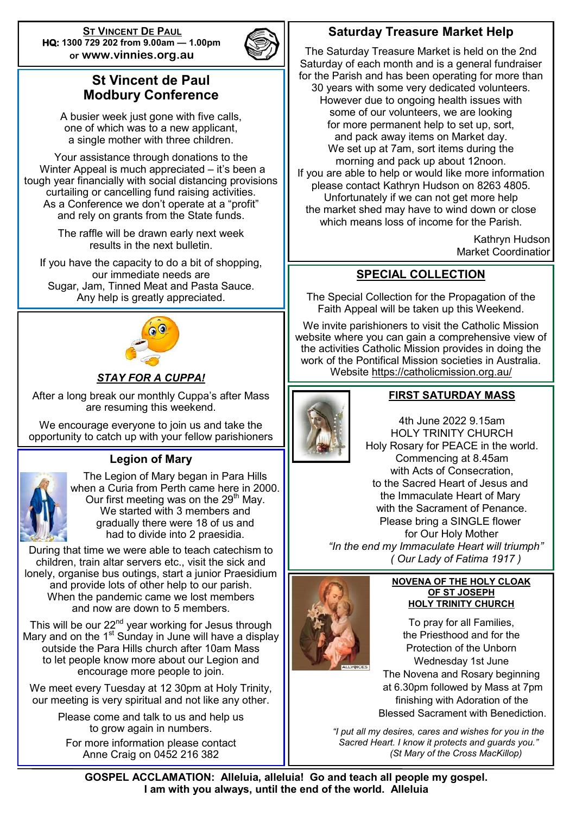**ST VINCENT DE PAUL HQ: 1300 729 202 from 9.00am — 1.00pm or www.vinnies.org.au** 



## **St Vincent de Paul Modbury Conference**

A busier week just gone with five calls, one of which was to a new applicant, a single mother with three children.

Your assistance through donations to the Winter Appeal is much appreciated – it's been a tough year financially with social distancing provisions curtailing or cancelling fund raising activities. As a Conference we don't operate at a "profit" and rely on grants from the State funds.

> The raffle will be drawn early next week results in the next bulletin.

If you have the capacity to do a bit of shopping, our immediate needs are Sugar, Jam, Tinned Meat and Pasta Sauce. Any help is greatly appreciated.



## *STAY FOR A CUPPA!*

After a long break our monthly Cuppa's after Mass are resuming this weekend.

We encourage everyone to join us and take the opportunity to catch up with your fellow parishioners

## **Legion of Mary**



The Legion of Mary began in Para Hills when a Curia from Perth came here in 2000. Our first meeting was on the  $29<sup>th</sup>$  May. We started with 3 members and gradually there were 18 of us and had to divide into 2 praesidia.

During that time we were able to teach catechism to children, train altar servers etc., visit the sick and lonely, organise bus outings, start a junior Praesidium and provide lots of other help to our parish. When the pandemic came we lost members and now are down to 5 members.

This will be our 22 $^{\text{nd}}$  year working for Jesus through Mary and on the  $1<sup>st</sup>$  Sunday in June will have a display outside the Para Hills church after 10am Mass to let people know more about our Legion and encourage more people to join.

We meet every Tuesday at 12 30pm at Holy Trinity, our meeting is very spiritual and not like any other.

> Please come and talk to us and help us to grow again in numbers.

For more information please contact Anne Craig on 0452 216 382

## **Saturday Treasure Market Help**

The Saturday Treasure Market is held on the 2nd Saturday of each month and is a general fundraiser for the Parish and has been operating for more than 30 years with some very dedicated volunteers. However due to ongoing health issues with some of our volunteers, we are looking for more permanent help to set up, sort, and pack away items on Market day. We set up at 7am, sort items during the morning and pack up about 12noon. If you are able to help or would like more information please contact Kathryn Hudson on 8263 4805. Unfortunately if we can not get more help the market shed may have to wind down or close which means loss of income for the Parish.

> Kathryn Hudson Market Coordinatior

## **SPECIAL COLLECTION**

The Special Collection for the Propagation of the Faith Appeal will be taken up this Weekend.

We invite parishioners to visit the Catholic Mission website where you can gain a comprehensive view of the activities Catholic Mission provides in doing the work of the Pontifical Mission societies in Australia. Website<https://catholicmission.org.au/>



## **FIRST SATURDAY MASS**

4th June 2022 9.15am HOLY TRINITY CHURCH Holy Rosary for PEACE in the world. Commencing at 8.45am with Acts of Consecration, to the Sacred Heart of Jesus and the Immaculate Heart of Mary with the Sacrament of Penance. Please bring a SINGLE flower for Our Holy Mother  *"In the end my Immaculate Heart will triumph" ( Our Lady of Fatima 1917 )*



#### **NOVENA OF THE HOLY CLOAK OF ST JOSEPH HOLY TRINITY CHURCH**

To pray for all Families, the Priesthood and for the Protection of the Unborn Wednesday 1st June The Novena and Rosary beginning at 6.30pm followed by Mass at 7pm finishing with Adoration of the Blessed Sacrament with Benediction.

*"I put all my desires, cares and wishes for you in the Sacred Heart. I know it protects and guards you." (St Mary of the Cross MacKillop)*